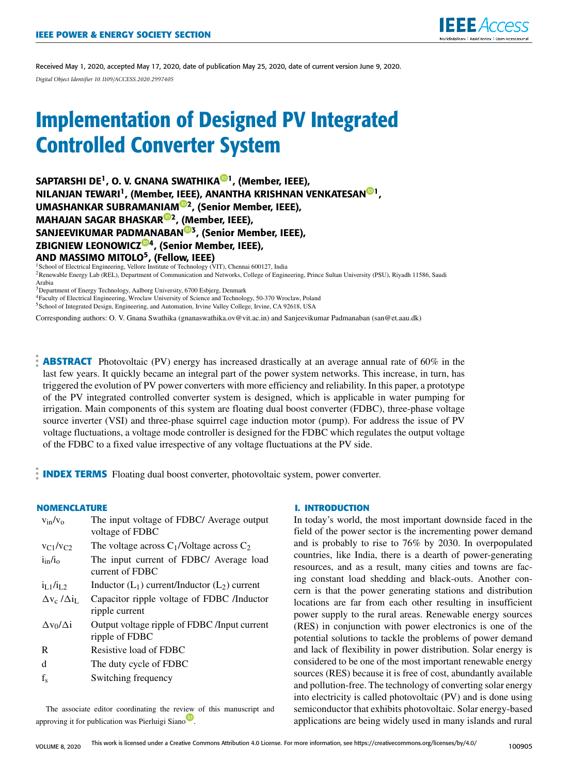

Received May 1, 2020, accepted May 17, 2020, date of publication May 25, 2020, date of current version June 9, 2020. *Digital Object Identifier 10.1109/ACCESS.2020.2997405*

# Implementation of Designed PV Integrated Controlled Converter System

SAPTARSHI DE<sup>1</sup>, O. V. GNANA SWATHIKA<sup>®1</sup>, (Member, IEEE), NILANJAN TEWARI<sup>1</sup>, (Member, IEEE), ANANTHA KRISHNAN VENKATESAN®I, UMASHANKAR SUBRAMANIAM®2, (Senior Member, IEEE), MAHAJAN SAGAR BHASKAR<sup>@2</sup>, (Member, IEEE), SANJEEVIKUMAR PADMANABAN<sup>®3</sup>, (Senior Member, IEEE), ZBIGNIEW LEONOWICZ®4, (Senior Member, IEEE), AND MASSIMO MITOLO<sup>5</sup>, (Fellow, IEEE)<br><sup>1</sup>School of Electrical Engineering, Vellore Institute of Technology (VIT), Chennai 600127, India

<sup>2</sup>Renewable Energy Lab (REL), Department of Communication and Networks, College of Engineering, Prince Sultan University (PSU), Riyadh 11586, Saudi Arabia

<sup>3</sup>Department of Energy Technology, Aalborg University, 6700 Esbjerg, Denmark

<sup>4</sup>Faculty of Electrical Engineering, Wroclaw University of Science and Technology, 50-370 Wroclaw, Poland

<sup>5</sup>School of Integrated Design, Engineering, and Automation, Irvine Valley College, Irvine, CA 92618, USA

Corresponding authors: O. V. Gnana Swathika (gnanaswathika.ov@vit.ac.in) and Sanjeevikumar Padmanaban (san@et.aau.dk)

**ABSTRACT** Photovoltaic (PV) energy has increased drastically at an average annual rate of 60% in the last few years. It quickly became an integral part of the power system networks. This increase, in turn, has triggered the evolution of PV power converters with more efficiency and reliability. In this paper, a prototype of the PV integrated controlled converter system is designed, which is applicable in water pumping for irrigation. Main components of this system are floating dual boost converter (FDBC), three-phase voltage source inverter (VSI) and three-phase squirrel cage induction motor (pump). For address the issue of PV voltage fluctuations, a voltage mode controller is designed for the FDBC which regulates the output voltage of the FDBC to a fixed value irrespective of any voltage fluctuations at the PV side.

**INDEX TERMS** Floating dual boost converter, photovoltaic system, power converter.

# **NOMENCLATURE**

| The input voltage of FDBC/ Average output<br>voltage of FDBC    |
|-----------------------------------------------------------------|
| The voltage across $C_1$ /Voltage across $C_2$                  |
| The input current of FDBC/ Average load<br>current of FDBC      |
| Inductor $(L_1)$ current/Inductor $(L_2)$ current               |
| Capacitor ripple voltage of FDBC /Inductor                      |
| ripple current                                                  |
| Output voltage ripple of FDBC / Input current<br>ripple of FDBC |
| Resistive load of FDBC                                          |
| The duty cycle of FDBC                                          |
| Switching frequency                                             |
|                                                                 |

The associate editor coordinating the review of this manuscript and approving it for publication was Pierluigi Siano

#### **I. INTRODUCTION**

In today's world, the most important downside faced in the field of the power sector is the incrementing power demand and is probably to rise to 76% by 2030. In overpopulated countries, like India, there is a dearth of power-generating resources, and as a result, many cities and towns are facing constant load shedding and black-outs. Another concern is that the power generating stations and distribution locations are far from each other resulting in insufficient power supply to the rural areas. Renewable energy sources (RES) in conjunction with power electronics is one of the potential solutions to tackle the problems of power demand and lack of flexibility in power distribution. Solar energy is considered to be one of the most important renewable energy sources (RES) because it is free of cost, abundantly available and pollution-free. The technology of converting solar energy into electricity is called photovoltaic (PV) and is done using semiconductor that exhibits photovoltaic. Solar energy-based applications are being widely used in many islands and rural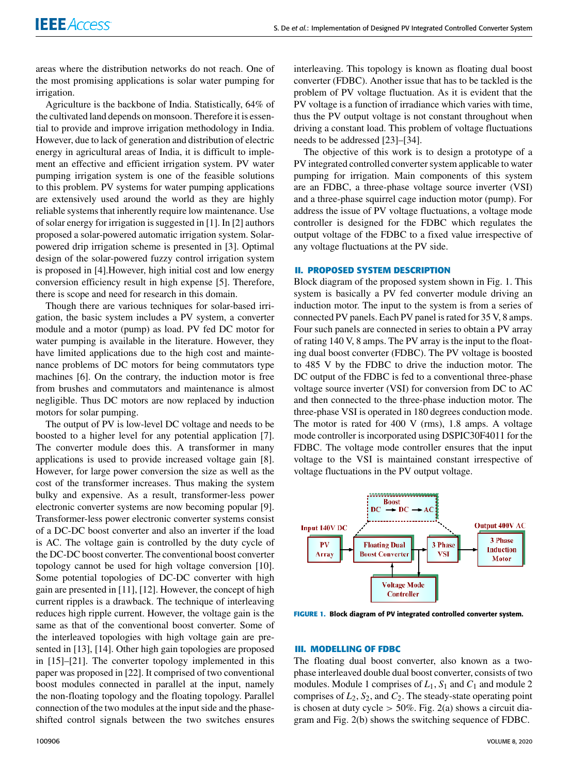areas where the distribution networks do not reach. One of the most promising applications is solar water pumping for irrigation.

Agriculture is the backbone of India. Statistically, 64% of the cultivated land depends on monsoon. Therefore it is essential to provide and improve irrigation methodology in India. However, due to lack of generation and distribution of electric energy in agricultural areas of India, it is difficult to implement an effective and efficient irrigation system. PV water pumping irrigation system is one of the feasible solutions to this problem. PV systems for water pumping applications are extensively used around the world as they are highly reliable systems that inherently require low maintenance. Use of solar energy for irrigation is suggested in [1]. In [2] authors proposed a solar-powered automatic irrigation system. Solarpowered drip irrigation scheme is presented in [3]. Optimal design of the solar-powered fuzzy control irrigation system is proposed in [4].However, high initial cost and low energy conversion efficiency result in high expense [5]. Therefore, there is scope and need for research in this domain.

Though there are various techniques for solar-based irrigation, the basic system includes a PV system, a converter module and a motor (pump) as load. PV fed DC motor for water pumping is available in the literature. However, they have limited applications due to the high cost and maintenance problems of DC motors for being commutators type machines [6]. On the contrary, the induction motor is free from brushes and commutators and maintenance is almost negligible. Thus DC motors are now replaced by induction motors for solar pumping.

The output of PV is low-level DC voltage and needs to be boosted to a higher level for any potential application [7]. The converter module does this. A transformer in many applications is used to provide increased voltage gain [8]. However, for large power conversion the size as well as the cost of the transformer increases. Thus making the system bulky and expensive. As a result, transformer-less power electronic converter systems are now becoming popular [9]. Transformer-less power electronic converter systems consist of a DC-DC boost converter and also an inverter if the load is AC. The voltage gain is controlled by the duty cycle of the DC-DC boost converter. The conventional boost converter topology cannot be used for high voltage conversion [10]. Some potential topologies of DC-DC converter with high gain are presented in [11], [12]. However, the concept of high current ripples is a drawback. The technique of interleaving reduces high ripple current. However, the voltage gain is the same as that of the conventional boost converter. Some of the interleaved topologies with high voltage gain are presented in [13], [14]. Other high gain topologies are proposed in [15]–[21]. The converter topology implemented in this paper was proposed in [22]. It comprised of two conventional boost modules connected in parallel at the input, namely the non-floating topology and the floating topology. Parallel connection of the two modules at the input side and the phaseshifted control signals between the two switches ensures interleaving. This topology is known as floating dual boost converter (FDBC). Another issue that has to be tackled is the problem of PV voltage fluctuation. As it is evident that the PV voltage is a function of irradiance which varies with time, thus the PV output voltage is not constant throughout when driving a constant load. This problem of voltage fluctuations needs to be addressed [23]–[34].

The objective of this work is to design a prototype of a PV integrated controlled converter system applicable to water pumping for irrigation. Main components of this system are an FDBC, a three-phase voltage source inverter (VSI) and a three-phase squirrel cage induction motor (pump). For address the issue of PV voltage fluctuations, a voltage mode controller is designed for the FDBC which regulates the output voltage of the FDBC to a fixed value irrespective of any voltage fluctuations at the PV side.

#### **II. PROPOSED SYSTEM DESCRIPTION**

Block diagram of the proposed system shown in Fig. 1. This system is basically a PV fed converter module driving an induction motor. The input to the system is from a series of connected PV panels. Each PV panel is rated for 35 V, 8 amps. Four such panels are connected in series to obtain a PV array of rating 140 V, 8 amps. The PV array is the input to the floating dual boost converter (FDBC). The PV voltage is boosted to 485 V by the FDBC to drive the induction motor. The DC output of the FDBC is fed to a conventional three-phase voltage source inverter (VSI) for conversion from DC to AC and then connected to the three-phase induction motor. The three-phase VSI is operated in 180 degrees conduction mode. The motor is rated for 400 V (rms), 1.8 amps. A voltage mode controller is incorporated using DSPIC30F4011 for the FDBC. The voltage mode controller ensures that the input voltage to the VSI is maintained constant irrespective of voltage fluctuations in the PV output voltage.



**FIGURE 1.** Block diagram of PV integrated controlled converter system.

#### **III. MODELLING OF FDBC**

The floating dual boost converter, also known as a twophase interleaved double dual boost converter, consists of two modules. Module 1 comprises of  $L_1$ ,  $S_1$  and  $C_1$  and module 2 comprises of  $L_2$ ,  $S_2$ , and  $C_2$ . The steady-state operating point is chosen at duty cycle  $> 50\%$ . Fig. 2(a) shows a circuit diagram and Fig. 2(b) shows the switching sequence of FDBC.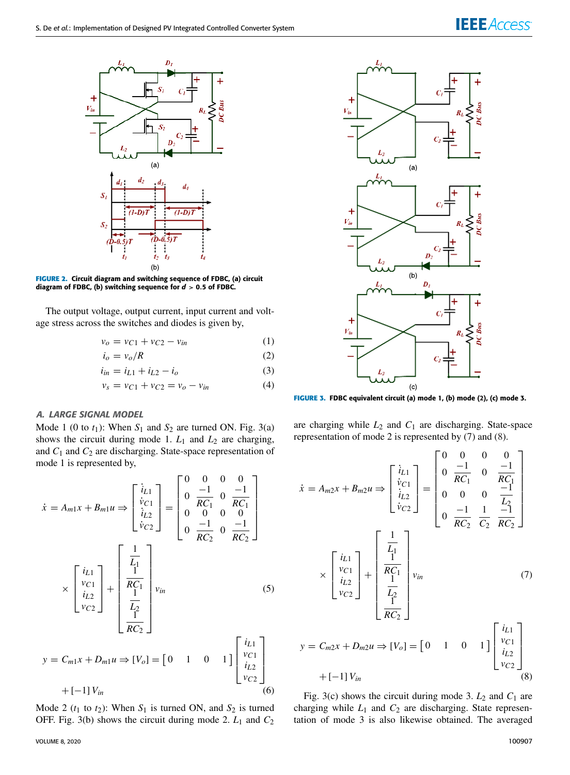

**FIGURE 2.** Circuit diagram and switching sequence of FDBC, (a) circuit diagram of FDBC, (b) switching sequence for  $d > 0.5$  of FDBC.

The output voltage, output current, input current and voltage stress across the switches and diodes is given by,

$$
v_o = v_{C1} + v_{C2} - v_{in}
$$
 (1)

$$
i_o = v_o/R \tag{2}
$$

$$
i_{in} = i_{L1} + i_{L2} - i_o \tag{3}
$$

$$
v_s = v_{C1} + v_{C2} = v_o - v_{in}
$$
 (4)

#### A. LARGE SIGNAL MODEL

Mode 1 (0 to  $t_1$ ): When  $S_1$  and  $S_2$  are turned ON. Fig. 3(a) shows the circuit during mode 1.  $L_1$  and  $L_2$  are charging, and  $C_1$  and  $C_2$  are discharging. State-space representation of mode 1 is represented by,

$$
\dot{x} = A_{m1}x + B_{m1}u \Rightarrow \begin{bmatrix} \dot{i}_{L1} \\ \dot{v}_{C1} \\ \dot{i}_{L2} \\ \dot{v}_{C2} \end{bmatrix} = \begin{bmatrix} 0 & 0 & 0 & 0 \\ 0 & \frac{-1}{RC_1} & 0 & \frac{-1}{RC_1} \\ 0 & 0 & 0 & 0 \\ 0 & \frac{-1}{RC_2} & 0 & \frac{-1}{RC_2} \end{bmatrix}
$$

$$
\times \begin{bmatrix} i_{L1} \\ v_{C1} \\ i_{L2} \\ v_{C2} \end{bmatrix} + \begin{bmatrix} \frac{1}{L_1} \\ \frac{1}{RC_1} \\ \frac{1}{L_2} \\ \frac{1}{RC_2} \end{bmatrix} v_{in} \qquad (5)
$$

$$
y = C_{m1}x + D_{m1}u \Rightarrow [V_o] = \begin{bmatrix} 0 & 1 & 0 & 1 \end{bmatrix} \begin{bmatrix} x \\ y_{C1} \\ i_{L2} \\ v_{C2} \end{bmatrix}
$$

$$
+ [-1]V_{in} \tag{6}
$$

Mode 2 ( $t_1$  to  $t_2$ ): When  $S_1$  is turned ON, and  $S_2$  is turned OFF. Fig. 3(b) shows the circuit during mode 2. *L*<sup>1</sup> and *C*<sup>2</sup>



**FIGURE 3.** FDBC equivalent circuit (a) mode 1, (b) mode (2), (c) mode 3.

are charging while  $L_2$  and  $C_1$  are discharging. State-space representation of mode 2 is represented by (7) and (8).

$$
\dot{x} = A_{m2}x + B_{m2}u \Rightarrow \begin{bmatrix} i_{L1} \\ i_{C1} \\ i_{L2} \\ i_{C2} \end{bmatrix} = \begin{bmatrix} 0 & 0 & 0 & 0 \\ 0 & \frac{-1}{RC_1} & 0 & \frac{-1}{RC_1} \\ 0 & 0 & 0 & \frac{-1}{LC_1} \\ 0 & 0 & 0 & \frac{-1}{LC_2} \\ 0 & \frac{-1}{RC_2} & \frac{1}{CC_2} & \frac{-1}{RC_2} \end{bmatrix}
$$

$$
\times \begin{bmatrix} i_{L1} \\ i_{L2} \\ i_{L2} \\ i_{C2} \end{bmatrix} + \begin{bmatrix} \frac{1}{L_1} \\ \frac{1}{RC_1} \\ \frac{1}{L_2} \\ \frac{1}{RC_2} \end{bmatrix} v_{in} \qquad (7)
$$

$$
y = C_{m2}x + D_{m2}u \Rightarrow [V_o] = \begin{bmatrix} 0 & 1 & 0 & 1 \end{bmatrix} \begin{bmatrix} i_{L1} \\ i_{L2} \\ i_{L2} \\ i_{C2} \end{bmatrix}
$$

 $+$   $[-1]$  *V*<sub>in</sub> (8)

Fig. 3(c) shows the circuit during mode 3.  $L_2$  and  $C_1$  are charging while  $L_1$  and  $C_2$  are discharging. State representation of mode 3 is also likewise obtained. The averaged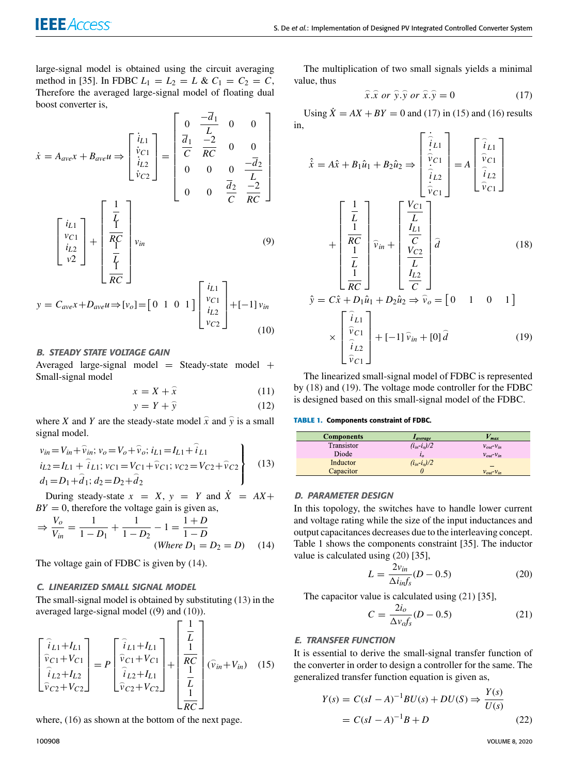large-signal model is obtained using the circuit averaging method in [35]. In FDBC  $L_1 = L_2 = L \& C_1 = C_2 = C$ , Therefore the averaged large-signal model of floating dual boost converter is,  $\mathbf{r}$ −*d*<sup>1</sup>  $\overline{\phantom{a}}$ 

$$
\dot{x} = A_{ave}x + B_{ave}u \Rightarrow \begin{bmatrix} \dot{i}_{L1} \\ \dot{v}_{C1} \\ \dot{i}_{L2} \\ \dot{v}_{C2} \end{bmatrix} = \begin{bmatrix} 0 & \frac{-a_1}{L} & 0 & 0 \\ \frac{\overline{d}_1}{C} & \frac{-2}{RC} & 0 & 0 \\ 0 & 0 & 0 & \frac{-\overline{d}_2}{L} \\ 0 & 0 & \frac{\overline{d}_2}{C} & \frac{-2}{RC} \end{bmatrix}
$$

$$
\begin{bmatrix} i_{L1} \\ v_{C1} \\ i_{L2} \\ v_{2} \end{bmatrix} + \begin{bmatrix} \frac{1}{L} \\ \frac{\overline{d}_1}{R} \\ \frac{\overline{d}_2}{R} \\ \frac{\overline{d}_2}{R} \\ \frac{\overline{d}_2}{R} \\ \frac{\overline{d}_2}{R} \\ \frac{\overline{d}_2}{R} \\ \frac{\overline{d}_2}{R} \\ \frac{\overline{d}_2}{R} \\ \frac{\overline{d}_2}{R} \\ \frac{\overline{d}_2}{R} \\ \frac{\overline{d}_2}{R} \\ \frac{\overline{d}_2}{R} \\ \frac{\overline{d}_2}{R} \\ \frac{\overline{d}_2}{R} \\ \frac{\overline{d}_2}{R} \\ \frac{\overline{d}_2}{R} \\ \frac{\overline{d}_2}{R} \\ \frac{\overline{d}_2}{R} \\ \frac{\overline{d}_2}{R} \\ \frac{\overline{d}_2}{R} \\ \frac{\overline{d}_2}{R} \\ \frac{\overline{d}_2}{R} \\ \frac{\overline{d}_2}{R} \\ \frac{\overline{d}_2}{R} \\ \frac{\overline{d}_2}{R} \\ \frac{\overline{d}_2}{R} \\ \frac{\overline{d}_2}{R} \\ \frac{\overline{d}_2}{R} \\ \frac{\overline{d}_2}{R} \\ \frac{\overline{d}_2}{R} \\ \frac{\overline{d}_2}{R} \\ \frac{\overline{d}_2}{R} \\ \frac{\overline{d}_2}{R} \\ \frac{\overline{d}_2}{R} \\ \frac{\overline{d}_2}{R} \\ \frac{\overline{d}_2}{R} \\ \frac{\overline{d}_2}{R} \\ \frac{\overline{d}_2}{R} \\ \frac{\overline{d}_2}{R} \\ \frac{\overline{d}_2}{R} \\ \frac{\overline{d}_2}{R} \\ \
$$

$$
y = C_{ave}x + D_{ave}u \Rightarrow [v_o] = \begin{bmatrix} 0 & 1 & 0 & 1 \end{bmatrix} \begin{bmatrix} v_{L1} \\ v_{C1} \\ i_{L2} \\ v_{C2} \end{bmatrix} + \begin{bmatrix} -1 \end{bmatrix} v_{in} \tag{10}
$$

### B. STEADY STATE VOLTAGE GAIN

Averaged large-signal model = Steady-state model + Small-signal model

$$
x = X + \hat{x} \tag{11}
$$

$$
y = Y + \hat{y} \tag{12}
$$

where *X* and *Y* are the steady-state model  $\hat{x}$  and  $\hat{y}$  is a small signal model.

$$
v_{in} = V_{in} + \hat{v}_{in}; v_o = V_o + \hat{v}_o; i_{L1} = I_{L1} + \hat{i}_{L1}
$$
  
\n
$$
i_{L2} = I_{L1} + \hat{i}_{L1}; v_{C1} = V_{C1} + \hat{v}_{C1}; v_{C2} = V_{C2} + \hat{v}_{C2}
$$
  
\n
$$
d_1 = D_1 + \hat{d}_1; d_2 = D_2 + \hat{d}_2
$$
\n(13)

During steady-state  $x = X$ ,  $y = Y$  and  $\dot{X} = AX +$  $BY = 0$ , therefore the voltage gain is given as,

$$
\Rightarrow \frac{V_o}{V_{in}} = \frac{1}{1 - D_1} + \frac{1}{1 - D_2} - 1 = \frac{1 + D}{1 - D}
$$
  
(Where D<sub>1</sub> = D<sub>2</sub> = D) (14)

The voltage gain of FDBC is given by (14).

# C. LINEARIZED SMALL SIGNAL MODEL

The small-signal model is obtained by substituting (13) in the averaged large-signal model ((9) and (10)).

$$
\begin{bmatrix}\n\hat{i}_{L1} + I_{L1} \\
\hat{v}_{C1} + V_{C1} \\
\hat{i}_{L2} + I_{L2} \\
\hat{v}_{C2} + V_{C2}\n\end{bmatrix} = P \begin{bmatrix}\n\hat{i}_{L1} + I_{L1} \\
\hat{v}_{C1} + V_{C1} \\
\hat{i}_{L2} + I_{L1} \\
\hat{v}_{C2} + V_{C2}\n\end{bmatrix} + \begin{bmatrix}\n\frac{1}{L} \\
\frac{1}{RC} \\
\frac{1}{L} \\
\frac{1}{RC}\n\end{bmatrix} (\hat{v}_{in} + V_{in})
$$
\n(15)

where, (16) as shown at the bottom of the next page.

The multiplication of two small signals yields a minimal value, thus

$$
\widehat{x}.\widehat{x} \text{ or } \widehat{y}.\widehat{y} \text{ or } \widehat{x}.\widehat{y} = 0 \tag{17}
$$

Using  $\dot{X} = AX + BY = 0$  and (17) in (15) and (16) results in,

$$
\hat{x} = A\hat{x} + B_1\hat{u}_1 + B_2\hat{u}_2 \Rightarrow \begin{bmatrix} \hat{i}_{L1} \\ \hat{i}_{L1} \\ \hat{i}_{L2} \\ \hat{i}_{L2} \\ \hat{i}_{L2} \end{bmatrix} = A \begin{bmatrix} \hat{i}_{L1} \\ \hat{i}_{L2} \\ \hat{i}_{L2} \\ \hat{i}_{L2} \end{bmatrix}
$$

$$
+ \begin{bmatrix} \frac{1}{L} \\ \frac{1}{RC} \\ \frac{1}{LC} \\ \frac{1}{RC} \end{bmatrix} \hat{v}_{in} + \begin{bmatrix} \frac{V_{C1}}{L} \\ \frac{I_{L1}}{C} \\ \frac{I_{L2}}{C} \end{bmatrix} \hat{d}
$$
(18)
$$
\hat{y} = C\hat{x} + D_1\hat{u}_1 + D_2\hat{u}_2 \Rightarrow \hat{v}_o = \begin{bmatrix} 0 & 1 & 0 & 1 \end{bmatrix}
$$

$$
\times \begin{bmatrix} \hat{i}_{L1} \\ \hat{i}_{L2} \\ \hat{i}_{L2} \\ \hat{i}_{L2} \end{bmatrix} + \begin{bmatrix} -1 \end{bmatrix} \hat{v}_{in} + [0] \hat{d}
$$
(19)

The linearized small-signal model of FDBC is represented by (18) and (19). The voltage mode controller for the FDBC is designed based on this small-signal model of the FDBC.

#### **TABLE 1.** Components constraint of FDBC.

| <b>Components</b> | Laverage           | max                  |
|-------------------|--------------------|----------------------|
| Transistor        | $(i_{in} - i_o)/2$ | $V_{out}$ - $V_{in}$ |
| Diode             | $l_0$              | $V_{out}$ - $V_{in}$ |
| Inductor          | $(i_{in} - i_o)/2$ |                      |
| Capacitor         |                    | $V_{out}$ $V_{in}$   |

#### D. PARAMETER DESIGN

In this topology, the switches have to handle lower current and voltage rating while the size of the input inductances and output capacitances decreases due to the interleaving concept. Table 1 shows the components constraint [35]. The inductor value is calculated using (20) [35],

$$
L = \frac{2v_{in}}{\Delta i_{in}f_s}(D - 0.5) \tag{20}
$$

The capacitor value is calculated using (21) [35],

$$
C = \frac{2i_o}{\Delta v_a f_s} (D - 0.5) \tag{21}
$$

#### E. TRANSFER FUNCTION

It is essential to derive the small-signal transfer function of the converter in order to design a controller for the same. The generalized transfer function equation is given as,

$$
Y(s) = C(sI - A)^{-1}BU(s) + DU(S) \Rightarrow \frac{Y(s)}{U(s)}
$$
  
=  $C(sI - A)^{-1}B + D$  (22)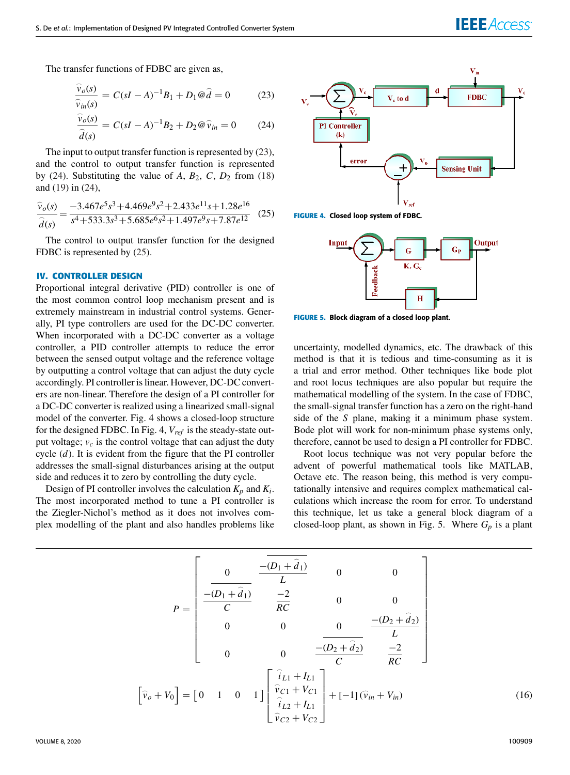The transfer functions of FDBC are given as,

$$
\frac{\widehat{v}_o(s)}{\widehat{v}_{in}(s)} = C(sI - A)^{-1}B_1 + D_1 @ \widehat{d} = 0 \tag{23}
$$

$$
\frac{\widehat{v}_o(s)}{\widehat{d}(s)} = C(sI - A)^{-1}B_2 + D_2 \mathcal{Q}\widehat{v}_{in} = 0 \qquad (24)
$$

The input to output transfer function is represented by (23), and the control to output transfer function is represented by (24). Substituting the value of  $A$ ,  $B_2$ ,  $C$ ,  $D_2$  from (18) and (19) in (24),

$$
\frac{\widehat{v}_o(s)}{\widehat{d}(s)} = \frac{-3.467e^5s^3 + 4.469e^9s^2 + 2.433e^{11}s + 1.28e^{16}}{s^4 + 533.3s^3 + 5.685e^6s^2 + 1.497e^9s + 7.87e^{12}}
$$
(25)

The control to output transfer function for the designed FDBC is represented by  $(25)$ .

#### **IV. CONTROLLER DESIGN**

Proportional integral derivative (PID) controller is one of the most common control loop mechanism present and is extremely mainstream in industrial control systems. Generally, PI type controllers are used for the DC-DC converter. When incorporated with a DC-DC converter as a voltage controller, a PID controller attempts to reduce the error between the sensed output voltage and the reference voltage by outputting a control voltage that can adjust the duty cycle accordingly. PI controller is linear. However, DC-DC converters are non-linear. Therefore the design of a PI controller for a DC-DC converter is realized using a linearized small-signal model of the converter. Fig. 4 shows a closed-loop structure for the designed FDBC. In Fig. 4, *Vref* is the steady-state output voltage;  $v_c$  is the control voltage that can adjust the duty cycle (*d*). It is evident from the figure that the PI controller addresses the small-signal disturbances arising at the output side and reduces it to zero by controlling the duty cycle.

Design of PI controller involves the calculation  $K_p$  and  $K_i$ . The most incorporated method to tune a PI controller is the Ziegler-Nichol's method as it does not involves complex modelling of the plant and also handles problems like



**FIGURE 4.** Closed loop system of FDBC.



**FIGURE 5.** Block diagram of a closed loop plant.

uncertainty, modelled dynamics, etc. The drawback of this method is that it is tedious and time-consuming as it is a trial and error method. Other techniques like bode plot and root locus techniques are also popular but require the mathematical modelling of the system. In the case of FDBC, the small-signal transfer function has a zero on the right-hand side of the *S* plane, making it a minimum phase system. Bode plot will work for non-minimum phase systems only, therefore, cannot be used to design a PI controller for FDBC.

Root locus technique was not very popular before the advent of powerful mathematical tools like MATLAB, Octave etc. The reason being, this method is very computationally intensive and requires complex mathematical calculations which increase the room for error. To understand this technique, let us take a general block diagram of a closed-loop plant, as shown in Fig. 5. Where  $G_p$  is a plant

$$
P = \begin{bmatrix} 0 & \frac{-\overline{(D_1 + \hat{d}_1)}}{L} & 0 & 0 \\ \frac{-\overline{(D_1 + \hat{d}_1)}}{C} & \frac{-2}{RC} & 0 & 0 \\ 0 & 0 & 0 & \frac{-\overline{(D_2 + \hat{d}_2)}}{L} \\ 0 & 0 & \frac{-\overline{(D_2 + \hat{d}_2)}}{C} & \frac{-2}{RC} \end{bmatrix}
$$

$$
\begin{bmatrix} \hat{v}_o + V_0 \end{bmatrix} = \begin{bmatrix} 0 & 1 & 0 & 1 \end{bmatrix} \begin{bmatrix} \hat{i}_{L1} + I_{L1} \\ \hat{v}_{C1} + V_{C1} \\ \hat{i}_{L2} + I_{L1} \\ \hat{i}_{L2} + V_{C2} \end{bmatrix} + [-1](\hat{v}_{in} + V_{in}) \qquad (16)
$$

VOLUME 8, 2020 **100909**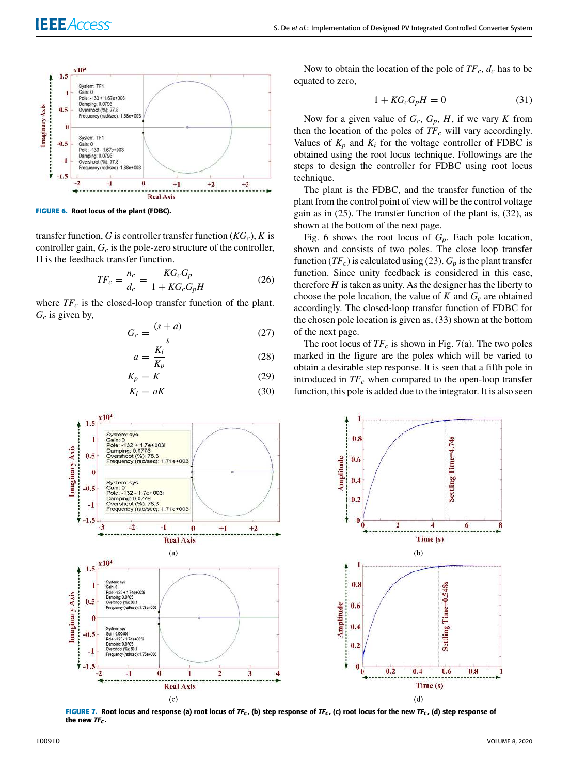

**FIGURE 6.** Root locus of the plant (FDBC).

transfer function, *G* is controller transfer function  $(KG_c)$ , *K* is controller gain, *G<sup>c</sup>* is the pole-zero structure of the controller, H is the feedback transfer function.

$$
TF_c = \frac{n_c}{d_c} = \frac{KG_c G_p}{1 + KG_c G_p H} \tag{26}
$$

where  $TF_c$  is the closed-loop transfer function of the plant. *G<sup>c</sup>* is given by,

$$
G_c = \frac{(s+a)}{s} \tag{27}
$$

$$
a = \frac{K_i}{K_p} \tag{28}
$$

$$
K_p = K \tag{29}
$$
  

$$
K_i = aK \tag{30}
$$

Now to obtain the location of the pole of  $TF_c$ ,  $d_c$  has to be equated to zero,

$$
1 + KG_c G_p H = 0 \tag{31}
$$

Now for a given value of  $G_c$ ,  $G_p$ ,  $H$ , if we vary  $K$  from then the location of the poles of  $TF_c$  will vary accordingly. Values of  $K_p$  and  $K_i$  for the voltage controller of FDBC is obtained using the root locus technique. Followings are the steps to design the controller for FDBC using root locus technique.

The plant is the FDBC, and the transfer function of the plant from the control point of view will be the control voltage gain as in (25). The transfer function of the plant is, (32), as shown at the bottom of the next page.

Fig. 6 shows the root locus of *Gp*. Each pole location, shown and consists of two poles. The close loop transfer function (*TFc*) is calculated using (23). *G<sup>p</sup>* is the plant transfer function. Since unity feedback is considered in this case, therefore  $H$  is taken as unity. As the designer has the liberty to choose the pole location, the value of  $K$  and  $G_c$  are obtained accordingly. The closed-loop transfer function of FDBC for the chosen pole location is given as, (33) shown at the bottom of the next page.

The root locus of  $TF_c$  is shown in Fig. 7(a). The two poles marked in the figure are the poles which will be varied to obtain a desirable step response. It is seen that a fifth pole in introduced in *TF<sup>c</sup>* when compared to the open-loop transfer function, this pole is added due to the integrator. It is also seen



**FIGURE 7.** Root locus and response (a) root locus of  $IF_c$ , (b) step response of  $IF_c$ , (c) root locus for the new  $IF_c$ , (d) step response of the new  $TF_c$ .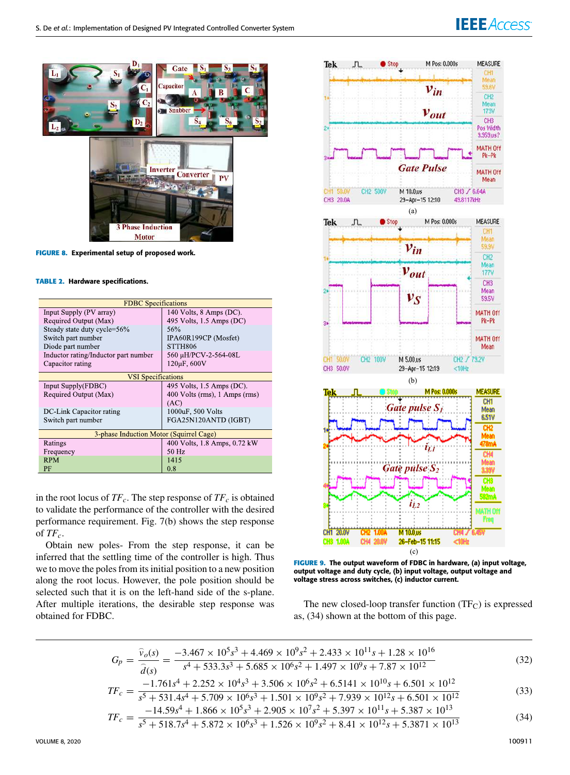# **IEEE** Access<sup>®</sup>



**FIGURE 8.** Experimental setup of proposed work.

#### **TABLE 2.** Hardware specifications.

| <b>FDBC</b> Specifications              |                                    |  |  |
|-----------------------------------------|------------------------------------|--|--|
| Input Supply (PV array)                 | 140 Volts, $8 \text{ Amps} (DC)$ . |  |  |
| Required Output (Max)                   | 495 Volts, 1.5 Amps (DC)           |  |  |
| Steady state duty cycle=56%             | 56%                                |  |  |
| Switch part number                      | IPA60R199CP (Mosfet)               |  |  |
| Diode part number                       | STTH806                            |  |  |
| Inductor rating/Inductor part number    | 560 µH/PCV-2-564-08L               |  |  |
| Capacitor rating                        | 120µF, 600V                        |  |  |
| <b>VSI</b> Specifications               |                                    |  |  |
|                                         |                                    |  |  |
| Input Supply(FDBC)                      | 495 Volts, 1.5 Amps (DC).          |  |  |
| Required Output (Max)                   | 400 Volts (rms), 1 Amps (rms)      |  |  |
|                                         | (AC)                               |  |  |
| DC-Link Capacitor rating                | 1000uF, 500 Volts                  |  |  |
| Switch part number                      | FGA25N120ANTD (IGBT)               |  |  |
|                                         |                                    |  |  |
| 3-phase Induction Motor (Squirrel Cage) |                                    |  |  |
| Ratings                                 | 400 Volts, 1.8 Amps, 0.72 kW       |  |  |
| Frequency                               | 50 Hz                              |  |  |
| <b>RPM</b>                              | 1415                               |  |  |
| PF                                      | 0.8                                |  |  |

in the root locus of  $TF_c$ . The step response of  $TF_c$  is obtained to validate the performance of the controller with the desired performance requirement. Fig. 7(b) shows the step response of  $TF_c$ .

Obtain new poles- From the step response, it can be inferred that the settling time of the controller is high. Thus we to move the poles from its initial position to a new position along the root locus. However, the pole position should be selected such that it is on the left-hand side of the s-plane. After multiple iterations, the desirable step response was obtained for FDBC.



**FIGURE 9.** The output waveform of FDBC in hardware, (a) input voltage, output voltage and duty cycle, (b) input voltage, output voltage and voltage stress across switches, (c) inductor current.

The new closed-loop transfer function  $(TF_C)$  is expressed as, (34) shown at the bottom of this page.

$$
G_p = \frac{\hat{v}_o(s)}{\hat{d}(s)} = \frac{-3.467 \times 10^5 s^3 + 4.469 \times 10^9 s^2 + 2.433 \times 10^{11} s + 1.28 \times 10^{16}}{s^4 + 533.3s^3 + 5.685 \times 10^6 s^2 + 1.497 \times 10^9 s + 7.87 \times 10^{12}}
$$
(32)

$$
TF_c = \frac{-1.761s^4 + 2.252 \times 10^4 s^3 + 3.506 \times 10^6 s^2 + 6.5141 \times 10^{10} s + 6.501 \times 10^{12}}{s^5 + 531.4s^4 + 5.709 \times 10^6 s^3 + 1.501 \times 10^9 s^2 + 7.939 \times 10^{12} s + 6.501 \times 10^{12}}
$$
(33)

$$
TF_c = \frac{-14.59s^4 + 1.866 \times 10^5 s^3 + 2.905 \times 10^7 s^2 + 5.397 \times 10^{11} s + 5.387 \times 10^{13}}{5 + 5.18.74 + 5.872 \times 10^{6} s^3 + 1.526 \times 10^{9} s^2 + 5.397 \times 10^{11} s + 5.387 \times 10^{13}}
$$
(34)

$$
TF_c = \frac{1.055 \times 1.055 \times 1.555 \times 1.555 \times 1.055 \times 1.555 \times 1.555 \times 1.555 \times 1.555 \times 1.555 \times 1.555 \times 1.555 \times 1.555 \times 1.555 \times 1.555 \times 1.555 \times 1.555 \times 1.555 \times 1.555 \times 1.555 \times 1.555 \times 1.555 \times 1.555 \times 1.555 \times 1.555 \times 1.555 \times 1.555 \times 1.555 \times 1.555 \times 1.555 \times 1.555 \times 1.555 \times 1.555 \times 1.555 \times 1.555 \times 1.555 \times 1.555 \times 1.555 \times 1.555 \times 1.555 \times 1.555 \times 1.555 \times 1.555 \times 1.555 \times 1.555 \times 1.555 \times 1.555 \times 1.555 \times 1.555 \times 1.555 \times 1.555 \times 1.555 \times 1.555 \times 1.555 \times 1.555 \times 1.555 \times 1.555 \times 1.555 \times 1.555 \times 1.555 \times 1.555 \times 1.555 \times 1.555 \times 1.555 \times 1.555 \times 1.555 \times 1.555 \times 1.555 \times 1.555 \times 1.555 \times 1.555 \times 1.555 \times 1.555 \times 1.555 \times 1.555 \times 1.555 \times 1.555 \times 1.555 \times 1.555 \times 1.555 \times 1.555 \times 1.555 \times 1.555 \times 1.555 \times 1.555 \times 1.555 \times 1.555 \times 1.555 \times 1.555 \times 1.555 \times 1.555 \times 1.555 \times 1.555 \times 1.555 \times 1
$$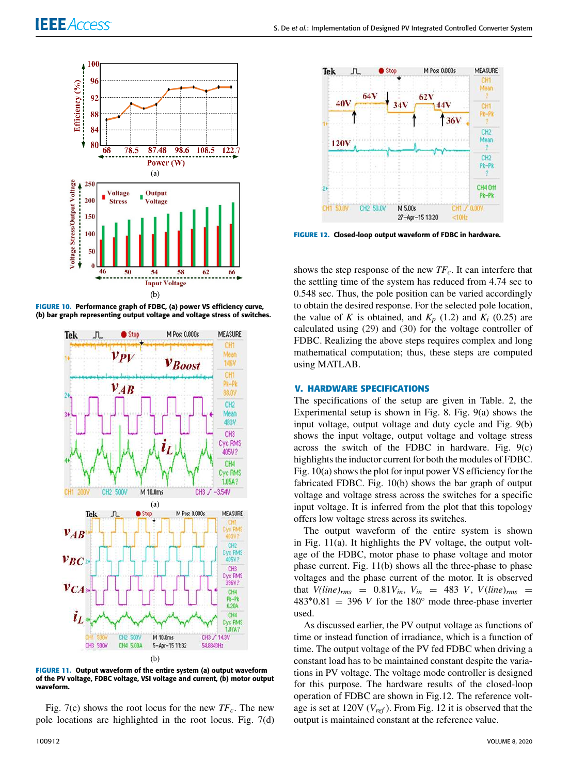





**FIGURE 11.** Output waveform of the entire system (a) output waveform of the PV voltage, FDBC voltage, VSI voltage and current, (b) motor output waveform.

Fig. 7(c) shows the root locus for the new *TFc*. The new pole locations are highlighted in the root locus. Fig. 7(d)



**FIGURE 12.** Closed-loop output waveform of FDBC in hardware.

shows the step response of the new *TFc*. It can interfere that the settling time of the system has reduced from 4.74 sec to 0.548 sec. Thus, the pole position can be varied accordingly to obtain the desired response. For the selected pole location, the value of *K* is obtained, and  $K_p$  (1.2) and  $K_i$  (0.25) are calculated using (29) and (30) for the voltage controller of FDBC. Realizing the above steps requires complex and long mathematical computation; thus, these steps are computed using MATLAB.

#### **V. HARDWARE SPECIFICATIONS**

The specifications of the setup are given in Table. 2, the Experimental setup is shown in Fig. 8. Fig. 9(a) shows the input voltage, output voltage and duty cycle and Fig. 9(b) shows the input voltage, output voltage and voltage stress across the switch of the FDBC in hardware. Fig.  $9(c)$ highlights the inductor current for both the modules of FDBC. Fig. 10(a) shows the plot for input power VS efficiency for the fabricated FDBC. Fig. 10(b) shows the bar graph of output voltage and voltage stress across the switches for a specific input voltage. It is inferred from the plot that this topology offers low voltage stress across its switches.

The output waveform of the entire system is shown in Fig. 11(a). It highlights the PV voltage, the output voltage of the FDBC, motor phase to phase voltage and motor phase current. Fig. 11(b) shows all the three-phase to phase voltages and the phase current of the motor. It is observed that  $V(\text{line})_{rms} = 0.81V_{in}$ ,  $V_{in} = 483 V$ ,  $V(\text{line})_{rms} =$  $483*0.81 = 396$  *V* for the 180 $\degree$  mode three-phase inverter used.

As discussed earlier, the PV output voltage as functions of time or instead function of irradiance, which is a function of time. The output voltage of the PV fed FDBC when driving a constant load has to be maintained constant despite the variations in PV voltage. The voltage mode controller is designed for this purpose. The hardware results of the closed-loop operation of FDBC are shown in Fig.12. The reference voltage is set at 120V (*Vref* ). From Fig. 12 it is observed that the output is maintained constant at the reference value.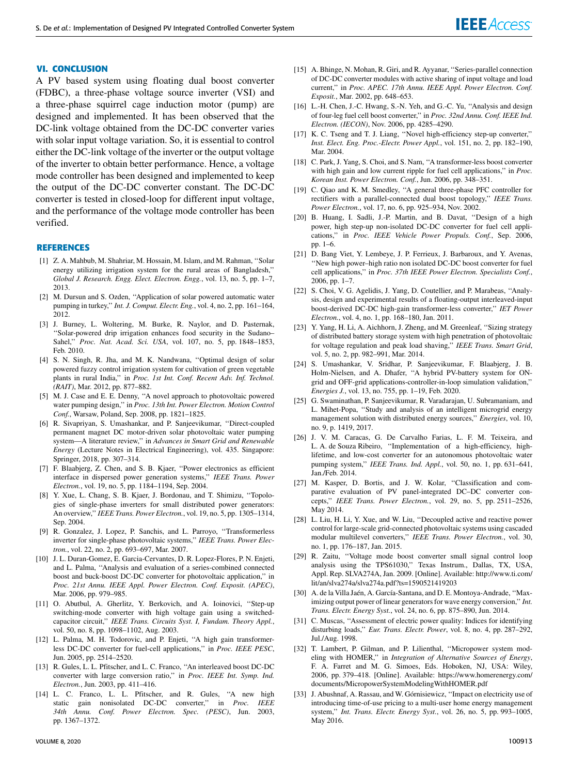#### **VI. CONCLUSION**

A PV based system using floating dual boost converter (FDBC), a three-phase voltage source inverter (VSI) and a three-phase squirrel cage induction motor (pump) are designed and implemented. It has been observed that the DC-link voltage obtained from the DC-DC converter varies with solar input voltage variation. So, it is essential to control either the DC-link voltage of the inverter or the output voltage of the inverter to obtain better performance. Hence, a voltage mode controller has been designed and implemented to keep the output of the DC-DC converter constant. The DC-DC converter is tested in closed-loop for different input voltage, and the performance of the voltage mode controller has been verified.

#### **REFERENCES**

- [1] Z. A. Mahbub, M. Shahriar, M. Hossain, M. Islam, and M. Rahman, ''Solar energy utilizing irrigation system for the rural areas of Bangladesh,'' *Global J. Research. Engg. Elect. Electron. Engg.*, vol. 13, no. 5, pp. 1–7, 2013.
- [2] M. Dursun and S. Ozden, ''Application of solar powered automatic water pumping in turkey,'' *Int. J. Comput. Electr. Eng.*, vol. 4, no. 2, pp. 161–164, 2012.
- [3] J. Burney, L. Woltering, M. Burke, R. Naylor, and D. Pasternak, ''Solar-powered drip irrigation enhances food security in the Sudano– Sahel,'' *Proc. Nat. Acad. Sci. USA*, vol. 107, no. 5, pp. 1848–1853, Feb. 2010.
- [4] S. N. Singh, R. Jha, and M. K. Nandwana, ''Optimal design of solar powered fuzzy control irrigation system for cultivation of green vegetable plants in rural India,'' in *Proc. 1st Int. Conf. Recent Adv. Inf. Technol. (RAIT)*, Mar. 2012, pp. 877–882.
- [5] M. J. Case and E. E. Denny, ''A novel approach to photovoltaic powered water pumping design,'' in *Proc. 13th Int. Power Electron. Motion Control Conf.*, Warsaw, Poland, Sep. 2008, pp. 1821–1825.
- [6] R. Sivapriyan, S. Umashankar, and P. Sanjeevikumar, ''Direct-coupled permanent magnet DC motor-driven solar photovoltaic water pumping system—A literature review,'' in *Advances in Smart Grid and Renewable Energy* (Lecture Notes in Electrical Engineering), vol. 435. Singapore: Springer, 2018, pp. 307–314.
- [7] F. Blaabjerg, Z. Chen, and S. B. Kjaer, "Power electronics as efficient interface in dispersed power generation systems,'' *IEEE Trans. Power Electron.*, vol. 19, no. 5, pp. 1184–1194, Sep. 2004.
- [8] Y. Xue, L. Chang, S. B. Kjaer, J. Bordonau, and T. Shimizu, ''Topologies of single-phase inverters for small distributed power generators: An overview,'' *IEEE Trans. Power Electron.*, vol. 19, no. 5, pp. 1305–1314, Sep. 2004.
- [9] R. Gonzalez, J. Lopez, P. Sanchis, and L. Parroyo, ''Transformerless inverter for single-phase photovoltaic systems,'' *IEEE Trans. Power Electron.*, vol. 22, no. 2, pp. 693–697, Mar. 2007.
- [10] J. L. Duran-Gomez, E. Garcia-Cervantes, D. R. Lopez-Flores, P. N. Enjeti, and L. Palma, ''Analysis and evaluation of a series-combined connected boost and buck-boost DC-DC converter for photovoltaic application,'' in *Proc. 21st Annu. IEEE Appl. Power Electron. Conf. Exposit. (APEC)*, Mar. 2006, pp. 979–985.
- [11] O. Abutbul, A. Gherlitz, Y. Berkovich, and A. Ioinovici, "Step-up switching-mode converter with high voltage gain using a switchedcapacitor circuit,'' *IEEE Trans. Circuits Syst. I, Fundam. Theory Appl.*, vol. 50, no. 8, pp. 1098–1102, Aug. 2003.
- [12] L. Palma, M. H. Todorovic, and P. Enjeti, "A high gain transformerless DC-DC converter for fuel-cell applications,'' in *Proc. IEEE PESC*, Jun. 2005, pp. 2514–2520.
- [13] R. Gules, L. L. Pfitscher, and L. C. Franco, ''An interleaved boost DC-DC converter with large conversion ratio,'' in *Proc. IEEE Int. Symp. Ind. Electron.*, Jun. 2003, pp. 411–416.
- [14] L. C. Franco, L. L. Pfitscher, and R. Gules, "A new high static gain nonisolated DC-DC converter,'' in *Proc. IEEE 34th Annu. Conf. Power Electron. Spec. (PESC)*, Jun. 2003, pp. 1367–1372.
- [16] L.-H. Chen, J.-C. Hwang, S.-N. Yeh, and G.-C. Yu, "Analysis and design of four-leg fuel cell boost converter,'' in *Proc. 32nd Annu. Conf. IEEE Ind. Electron. (IECON)*, Nov. 2006, pp. 4285–4290.
- [17] K. C. Tseng and T. J. Liang, ''Novel high-efficiency step-up converter,'' *Inst. Elect. Eng. Proc.-Electr. Power Appl.*, vol. 151, no. 2, pp. 182–190, Mar. 2004.
- [18] C. Park, J. Yang, S. Choi, and S. Nam, ''A transformer-less boost converter with high gain and low current ripple for fuel cell applications,'' in *Proc. Korean Inst. Power Electron. Conf.*, Jun. 2006, pp. 348–351.
- [19] C. Qiao and K. M. Smedley, "A general three-phase PFC controller for rectifiers with a parallel-connected dual boost topology,'' *IEEE Trans. Power Electron.*, vol. 17, no. 6, pp. 925–934, Nov. 2002.
- [20] B. Huang, I. Sadli, J.-P. Martin, and B. Davat, "Design of a high power, high step-up non-isolated DC-DC converter for fuel cell applications,'' in *Proc. IEEE Vehicle Power Propuls. Conf.*, Sep. 2006, pp. 1–6.
- [21] D. Bang Viet, Y. Lembeye, J. P. Ferrieux, J. Barbaroux, and Y. Avenas, ''New high power–high ratio non isolated DC-DC boost converter for fuel cell applications,'' in *Proc. 37th IEEE Power Electron. Specialists Conf.*, 2006, pp. 1–7.
- [22] S. Choi, V. G. Agelidis, J. Yang, D. Coutellier, and P. Marabeas, ''Analysis, design and experimental results of a floating-output interleaved-input boost-derived DC-DC high-gain transformer-less converter,'' *IET Power Electron.*, vol. 4, no. 1, pp. 168–180, Jan. 2011.
- [23] Y. Yang, H. Li, A. Aichhorn, J. Zheng, and M. Greenleaf, ''Sizing strategy of distributed battery storage system with high penetration of photovoltaic for voltage regulation and peak load shaving,'' *IEEE Trans. Smart Grid*, vol. 5, no. 2, pp. 982–991, Mar. 2014.
- [24] S. Umashankar, V. Sridhar, P. Sanjeevikumar, F. Blaabjerg, J. B. Holm-Nielsen, and A. Dhafer, ''A hybrid PV-battery system for ONgrid and OFF-grid applications-controller-in-loop simulation validation,'' *Energies J.*, vol. 13, no. 755, pp. 1–19, Feb. 2020.
- [25] G. Swaminathan, P. Sanjeevikumar, R. Varadarajan, U. Subramaniam, and L. Mihet-Popa, ''Study and analysis of an intelligent microgrid energy management solution with distributed energy sources,'' *Energies*, vol. 10, no. 9, p. 1419, 2017.
- [26] J. V. M. Caracas, G. De Carvalho Farias, L. F. M. Teixeira, and L. A. de Souza Ribeiro, ''Implementation of a high-efficiency, highlifetime, and low-cost converter for an autonomous photovoltaic water pumping system,'' *IEEE Trans. Ind. Appl.*, vol. 50, no. 1, pp. 631–641, Jan./Feb. 2014.
- [27] M. Kasper, D. Bortis, and J. W. Kolar, "Classification and comparative evaluation of PV panel-integrated DC–DC converter concepts,'' *IEEE Trans. Power Electron.*, vol. 29, no. 5, pp. 2511–2526, May 2014.
- [28] L. Liu, H. Li, Y. Xue, and W. Liu, "Decoupled active and reactive power control for large-scale grid-connected photovoltaic systems using cascaded modular multilevel converters,'' *IEEE Trans. Power Electron.*, vol. 30, no. 1, pp. 176–187, Jan. 2015.
- [29] R. Zaitu, ''Voltage mode boost converter small signal control loop analysis using the TPS61030,'' Texas Instrum., Dallas, TX, USA, Appl. Rep. SLVA274A, Jan. 2009. [Online]. Available: http://www.ti.com/ lit/an/slva274a/slva274a.pdf?ts=1590521419203
- [30] A. de la Villa Jaén, A. García-Santana, and D. E. Montoya-Andrade, ''Maximizing output power of linear generators for wave energy conversion,'' *Int. Trans. Electr. Energy Syst.*, vol. 24, no. 6, pp. 875–890, Jun. 2014.
- [31] C. Muscas, "Assessment of electric power quality: Indices for identifying disturbing loads,'' *Eur. Trans. Electr. Power*, vol. 8, no. 4, pp. 287–292, Jul./Aug. 1998.
- [32] T. Lambert, P. Gilman, and P. Lilienthal, "Micropower system modeling with HOMER,'' in *Integration of Alternative Sources of Energy*, F. A. Farret and M. G. Simoes, Eds. Hoboken, NJ, USA: Wiley, 2006, pp. 379–418. [Online]. Available: https://www.homerenergy.com/ documents/MicropowerSystemModelingWithHOMER.pdf
- J. Abushnaf, A. Rassau, and W. Górnisiewicz, "Impact on electricity use of introducing time-of-use pricing to a multi-user home energy management system,'' *Int. Trans. Electr. Energy Syst.*, vol. 26, no. 5, pp. 993–1005, May 2016.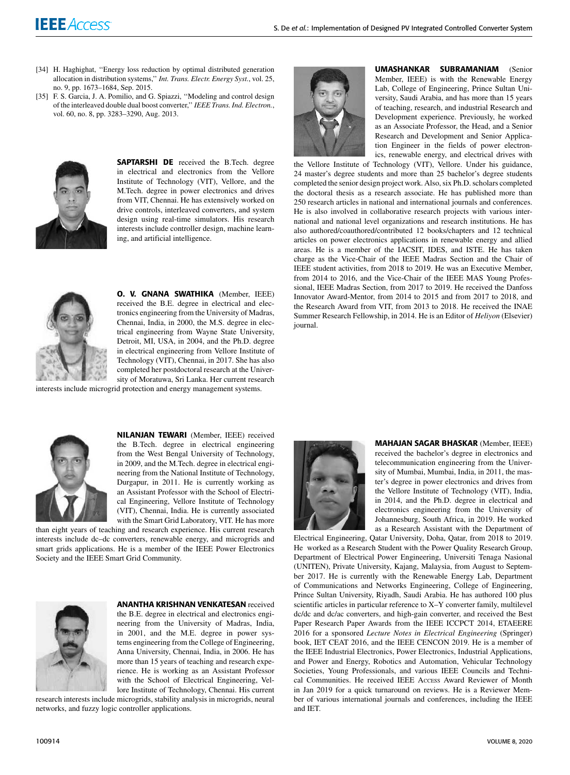- [34] H. Haghighat, "Energy loss reduction by optimal distributed generation allocation in distribution systems,'' *Int. Trans. Electr. Energy Syst.*, vol. 25, no. 9, pp. 1673–1684, Sep. 2015.
- [35] F. S. Garcia, J. A. Pomilio, and G. Spiazzi, "Modeling and control design of the interleaved double dual boost converter,'' *IEEE Trans. Ind. Electron.*, vol. 60, no. 8, pp. 3283–3290, Aug. 2013.



SAPTARSHI DE received the B.Tech. degree in electrical and electronics from the Vellore Institute of Technology (VIT), Vellore, and the M.Tech. degree in power electronics and drives from VIT, Chennai. He has extensively worked on drive controls, interleaved converters, and system design using real-time simulators. His research interests include controller design, machine learning, and artificial intelligence.



O. V. GNANA SWATHIKA (Member, IEEE) received the B.E. degree in electrical and electronics engineering from the University of Madras, Chennai, India, in 2000, the M.S. degree in electrical engineering from Wayne State University, Detroit, MI, USA, in 2004, and the Ph.D. degree in electrical engineering from Vellore Institute of Technology (VIT), Chennai, in 2017. She has also completed her postdoctoral research at the University of Moratuwa, Sri Lanka. Her current research

interests include microgrid protection and energy management systems.



NILANJAN TEWARI (Member, IEEE) received the B.Tech. degree in electrical engineering from the West Bengal University of Technology, in 2009, and the M.Tech. degree in electrical engineering from the National Institute of Technology, Durgapur, in 2011. He is currently working as an Assistant Professor with the School of Electrical Engineering, Vellore Institute of Technology (VIT), Chennai, India. He is currently associated with the Smart Grid Laboratory, VIT. He has more

than eight years of teaching and research experience. His current research interests include dc–dc converters, renewable energy, and microgrids and smart grids applications. He is a member of the IEEE Power Electronics Society and the IEEE Smart Grid Community.



#### ANANTHA KRISHNAN VENKATESAN received

the B.E. degree in electrical and electronics engineering from the University of Madras, India, in 2001, and the M.E. degree in power systems engineering from the College of Engineering, Anna University, Chennai, India, in 2006. He has more than 15 years of teaching and research experience. He is working as an Assistant Professor with the School of Electrical Engineering, Vellore Institute of Technology, Chennai. His current

research interests include microgrids, stability analysis in microgrids, neural networks, and fuzzy logic controller applications.



UMASHANKAR SUBRAMANIAM (Senior Member, IEEE) is with the Renewable Energy Lab, College of Engineering, Prince Sultan University, Saudi Arabia, and has more than 15 years of teaching, research, and industrial Research and Development experience. Previously, he worked as an Associate Professor, the Head, and a Senior Research and Development and Senior Application Engineer in the fields of power electronics, renewable energy, and electrical drives with

the Vellore Institute of Technology (VIT), Vellore. Under his guidance, 24 master's degree students and more than 25 bachelor's degree students completed the senior design project work. Also, six Ph.D. scholars completed the doctoral thesis as a research associate. He has published more than 250 research articles in national and international journals and conferences. He is also involved in collaborative research projects with various international and national level organizations and research institutions. He has also authored/coauthored/contributed 12 books/chapters and 12 technical articles on power electronics applications in renewable energy and allied areas. He is a member of the IACSIT, IDES, and ISTE. He has taken charge as the Vice-Chair of the IEEE Madras Section and the Chair of IEEE student activities, from 2018 to 2019. He was an Executive Member, from 2014 to 2016, and the Vice-Chair of the IEEE MAS Young Professional, IEEE Madras Section, from 2017 to 2019. He received the Danfoss Innovator Award-Mentor, from 2014 to 2015 and from 2017 to 2018, and the Research Award from VIT, from 2013 to 2018. He received the INAE Summer Research Fellowship, in 2014. He is an Editor of *Heliyon* (Elsevier) journal.



MAHAJAN SAGAR BHASKAR (Member, IEEE) received the bachelor's degree in electronics and telecommunication engineering from the University of Mumbai, Mumbai, India, in 2011, the master's degree in power electronics and drives from the Vellore Institute of Technology (VIT), India, in 2014, and the Ph.D. degree in electrical and electronics engineering from the University of Johannesburg, South Africa, in 2019. He worked as a Research Assistant with the Department of

Electrical Engineering, Qatar University, Doha, Qatar, from 2018 to 2019. He worked as a Research Student with the Power Quality Research Group, Department of Electrical Power Engineering, Universiti Tenaga Nasional (UNITEN), Private University, Kajang, Malaysia, from August to September 2017. He is currently with the Renewable Energy Lab, Department of Communications and Networks Engineering, College of Engineering, Prince Sultan University, Riyadh, Saudi Arabia. He has authored 100 plus scientific articles in particular reference to X–Y converter family, multilevel dc/dc and dc/ac converters, and high-gain converter, and received the Best Paper Research Paper Awards from the IEEE ICCPCT 2014, ETAEERE 2016 for a sponsored *Lecture Notes in Electrical Engineering* (Springer) book, IET CEAT 2016, and the IEEE CENCON 2019. He is a member of the IEEE Industrial Electronics, Power Electronics, Industrial Applications, and Power and Energy, Robotics and Automation, Vehicular Technology Societies, Young Professionals, and various IEEE Councils and Technical Communities. He received IEEE ACCESS Award Reviewer of Month in Jan 2019 for a quick turnaround on reviews. He is a Reviewer Member of various international journals and conferences, including the IEEE and IET.